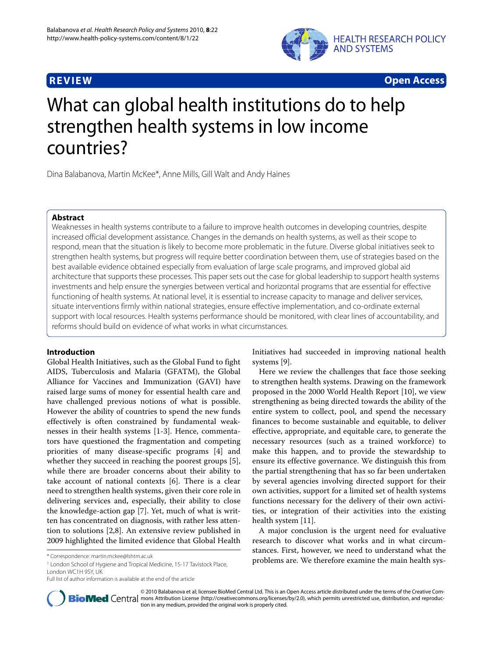

**REVIEW Open Access**

# What can global health institutions do to help strengthen health systems in low income countries?

Dina Balabanova, Martin McKee\*, Anne Mills, Gill Walt and Andy Haines

# **Abstract**

Weaknesses in health systems contribute to a failure to improve health outcomes in developing countries, despite increased official development assistance. Changes in the demands on health systems, as well as their scope to respond, mean that the situation is likely to become more problematic in the future. Diverse global initiatives seek to strengthen health systems, but progress will require better coordination between them, use of strategies based on the best available evidence obtained especially from evaluation of large scale programs, and improved global aid architecture that supports these processes. This paper sets out the case for global leadership to support health systems investments and help ensure the synergies between vertical and horizontal programs that are essential for effective functioning of health systems. At national level, it is essential to increase capacity to manage and deliver services, situate interventions firmly within national strategies, ensure effective implementation, and co-ordinate external support with local resources. Health systems performance should be monitored, with clear lines of accountability, and reforms should build on evidence of what works in what circumstances.

# **Introduction**

Global Health Initiatives, such as the Global Fund to fight AIDS, Tuberculosis and Malaria (GFATM), the Global Alliance for Vaccines and Immunization (GAVI) have raised large sums of money for essential health care and have challenged previous notions of what is possible. However the ability of countries to spend the new funds effectively is often constrained by fundamental weaknesses in their health systems [[1](#page-8-0)[-3](#page-8-1)]. Hence, commentators have questioned the fragmentation and competing priorities of many disease-specific programs [\[4](#page-8-2)] and whether they succeed in reaching the poorest groups [\[5](#page-8-3)], while there are broader concerns about their ability to take account of national contexts [\[6](#page-8-4)]. There is a clear need to strengthen health systems, given their core role in delivering services and, especially, their ability to close the knowledge-action gap [\[7](#page-8-5)]. Yet, much of what is written has concentrated on diagnosis, with rather less attention to solutions [[2](#page-8-6),[8\]](#page-8-7). An extensive review published in 2009 highlighted the limited evidence that Global Health

1 London School of Hygiene and Tropical Medicine, 15-17 Tavistock Place, London WC1H 9SY LIK

Full list of author information is available at the end of the article

Initiatives had succeeded in improving national health systems [\[9](#page-8-8)].

Here we review the challenges that face those seeking to strengthen health systems. Drawing on the framework proposed in the 2000 World Health Report [[10\]](#page-8-9), we view strengthening as being directed towards the ability of the entire system to collect, pool, and spend the necessary finances to become sustainable and equitable, to deliver effective, appropriate, and equitable care, to generate the necessary resources (such as a trained workforce) to make this happen, and to provide the stewardship to ensure its effective governance. We distinguish this from the partial strengthening that has so far been undertaken by several agencies involving directed support for their own activities, support for a limited set of health systems functions necessary for the delivery of their own activities, or integration of their activities into the existing health system [\[11\]](#page-8-10).

A major conclusion is the urgent need for evaluative research to discover what works and in what circumstances. First, however, we need to understand what the problems are. We therefore examine the main health sys- \* Correspondence: martin.mckee@lshtm.ac.uk



© 2010 Balabanova et al; licensee BioMed Central Ltd. This is an Open Access article distributed under the terms of the Creative Com-**Bio Med** Central mons Attribution License (http://creativecommons.org/licenses/by/2.0), which permits unrestricted use, distribution, and reproduction in any medium, provided the original work is properly cited.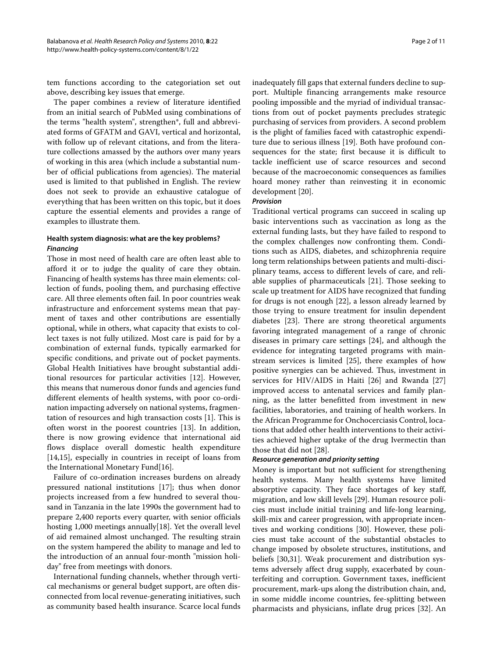tem functions according to the categoriation set out above, describing key issues that emerge.

The paper combines a review of literature identified from an initial search of PubMed using combinations of the terms "health system", strengthen\*, full and abbreviated forms of GFATM and GAVI, vertical and horizontal, with follow up of relevant citations, and from the literature collections amassed by the authors over many years of working in this area (which include a substantial number of official publications from agencies). The material used is limited to that published in English. The review does not seek to provide an exhaustive catalogue of everything that has been written on this topic, but it does capture the essential elements and provides a range of examples to illustrate them.

# **Health system diagnosis: what are the key problems? Financing**

Those in most need of health care are often least able to afford it or to judge the quality of care they obtain. Financing of health systems has three main elements: collection of funds, pooling them, and purchasing effective care. All three elements often fail. In poor countries weak infrastructure and enforcement systems mean that payment of taxes and other contributions are essentially optional, while in others, what capacity that exists to collect taxes is not fully utilized. Most care is paid for by a combination of external funds, typically earmarked for specific conditions, and private out of pocket payments. Global Health Initiatives have brought substantial additional resources for particular activities [\[12](#page-9-0)]. However, this means that numerous donor funds and agencies fund different elements of health systems, with poor co-ordination impacting adversely on national systems, fragmentation of resources and high transaction costs [[1\]](#page-8-0). This is often worst in the poorest countries [\[13](#page-9-1)]. In addition, there is now growing evidence that international aid flows displace overall domestic health expenditure [[14,](#page-9-2)[15\]](#page-9-3), especially in countries in receipt of loans from the International Monetary Fund[[16\]](#page-9-4).

Failure of co-ordination increases burdens on already pressured national institutions [\[17\]](#page-9-5); thus when donor projects increased from a few hundred to several thousand in Tanzania in the late 1990s the government had to prepare 2,400 reports every quarter, with senior officials hosting 1,000 meetings annually[\[18\]](#page-9-6). Yet the overall level of aid remained almost unchanged. The resulting strain on the system hampered the ability to manage and led to the introduction of an annual four-month "mission holiday" free from meetings with donors.

International funding channels, whether through vertical mechanisms or general budget support, are often disconnected from local revenue-generating initiatives, such as community based health insurance. Scarce local funds inadequately fill gaps that external funders decline to support. Multiple financing arrangements make resource pooling impossible and the myriad of individual transactions from out of pocket payments precludes strategic purchasing of services from providers. A second problem is the plight of families faced with catastrophic expenditure due to serious illness [[19](#page-9-7)]. Both have profound consequences for the state; first because it is difficult to tackle inefficient use of scarce resources and second because of the macroeconomic consequences as families hoard money rather than reinvesting it in economic

# **Provision**

development [\[20](#page-9-8)].

Traditional vertical programs can succeed in scaling up basic interventions such as vaccination as long as the external funding lasts, but they have failed to respond to the complex challenges now confronting them. Conditions such as AIDS, diabetes, and schizophrenia require long term relationships between patients and multi-disciplinary teams, access to different levels of care, and reliable supplies of pharmaceuticals [[21\]](#page-9-9). Those seeking to scale up treatment for AIDS have recognized that funding for drugs is not enough [[22](#page-9-10)], a lesson already learned by those trying to ensure treatment for insulin dependent diabetes [[23\]](#page-9-11). There are strong theoretical arguments favoring integrated management of a range of chronic diseases in primary care settings [\[24](#page-9-12)], and although the evidence for integrating targeted programs with mainstream services is limited [\[25](#page-9-13)], there examples of how positive synergies can be achieved. Thus, investment in services for HIV/AIDS in Haiti [[26\]](#page-9-14) and Rwanda [[27](#page-9-15)] improved access to antenatal services and family planning, as the latter benefitted from investment in new facilities, laboratories, and training of health workers. In the African Programme for Onchocerciasis Control, locations that added other health interventions to their activities achieved higher uptake of the drug Ivermectin than those that did not [\[28](#page-9-16)].

# **Resource generation and priority setting**

Money is important but not sufficient for strengthening health systems. Many health systems have limited absorptive capacity. They face shortages of key staff, migration, and low skill levels [\[29\]](#page-9-17). Human resource policies must include initial training and life-long learning, skill-mix and career progression, with appropriate incentives and working conditions [\[30](#page-9-18)]. However, these policies must take account of the substantial obstacles to change imposed by obsolete structures, institutions, and beliefs [[30](#page-9-18),[31](#page-9-19)]. Weak procurement and distribution systems adversely affect drug supply, exacerbated by counterfeiting and corruption. Government taxes, inefficient procurement, mark-ups along the distribution chain, and, in some middle income countries, fee-splitting between pharmacists and physicians, inflate drug prices [[32](#page-9-20)]. An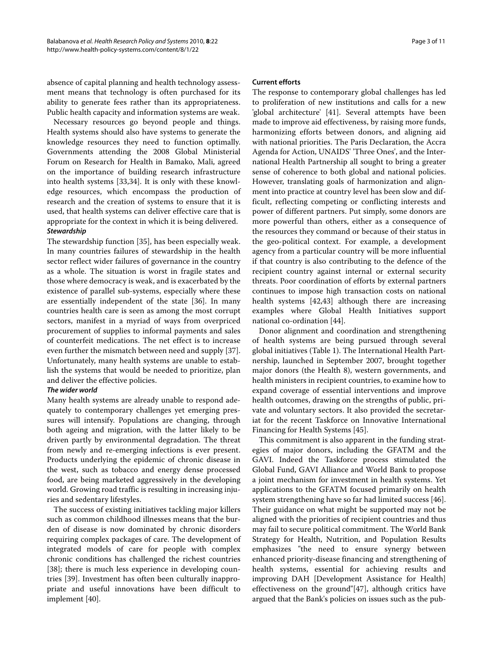absence of capital planning and health technology assessment means that technology is often purchased for its ability to generate fees rather than its appropriateness. Public health capacity and information systems are weak.

Necessary resources go beyond people and things. Health systems should also have systems to generate the knowledge resources they need to function optimally. Governments attending the 2008 Global Ministerial Forum on Research for Health in Bamako, Mali, agreed on the importance of building research infrastructure into health systems [[33,](#page-9-21)[34\]](#page-9-22). It is only with these knowledge resources, which encompass the production of research and the creation of systems to ensure that it is used, that health systems can deliver effective care that is appropriate for the context in which it is being delivered. **Stewardship**

The stewardship function [\[35\]](#page-9-23), has been especially weak. In many countries failures of stewardship in the health sector reflect wider failures of governance in the country as a whole. The situation is worst in fragile states and those where democracy is weak, and is exacerbated by the existence of parallel sub-systems, especially where these are essentially independent of the state [[36](#page-9-24)]. In many countries health care is seen as among the most corrupt sectors, manifest in a myriad of ways from overpriced procurement of supplies to informal payments and sales of counterfeit medications. The net effect is to increase even further the mismatch between need and supply [\[37](#page-9-25)]. Unfortunately, many health systems are unable to establish the systems that would be needed to prioritize, plan and deliver the effective policies.

# **The wider world**

Many health systems are already unable to respond adequately to contemporary challenges yet emerging pressures will intensify. Populations are changing, through both ageing and migration, with the latter likely to be driven partly by environmental degradation. The threat from newly and re-emerging infections is ever present. Products underlying the epidemic of chronic disease in the west, such as tobacco and energy dense processed food, are being marketed aggressively in the developing world. Growing road traffic is resulting in increasing injuries and sedentary lifestyles.

The success of existing initiatives tackling major killers such as common childhood illnesses means that the burden of disease is now dominated by chronic disorders requiring complex packages of care. The development of integrated models of care for people with complex chronic conditions has challenged the richest countries [[38\]](#page-9-26); there is much less experience in developing countries [\[39\]](#page-9-27). Investment has often been culturally inappropriate and useful innovations have been difficult to implement [\[40](#page-9-28)].

# **Current efforts**

The response to contemporary global challenges has led to proliferation of new institutions and calls for a new 'global architecture' [\[41](#page-9-29)]. Several attempts have been made to improve aid effectiveness, by raising more funds, harmonizing efforts between donors, and aligning aid with national priorities. The Paris Declaration, the Accra Agenda for Action, UNAIDS' 'Three Ones', and the International Health Partnership all sought to bring a greater sense of coherence to both global and national policies. However, translating goals of harmonization and alignment into practice at country level has been slow and difficult, reflecting competing or conflicting interests and power of different partners. Put simply, some donors are more powerful than others, either as a consequence of the resources they command or because of their status in the geo-political context. For example, a development agency from a particular country will be more influential if that country is also contributing to the defence of the recipient country against internal or external security threats. Poor coordination of efforts by external partners continues to impose high transaction costs on national health systems [\[42](#page-9-30)[,43](#page-9-31)] although there are increasing examples where Global Health Initiatives support national co-ordination [\[44\]](#page-9-32).

Donor alignment and coordination and strengthening of health systems are being pursued through several global initiatives (Table [1](#page-3-0)). The International Health Partnership, launched in September 2007, brought together major donors (the Health 8), western governments, and health ministers in recipient countries, to examine how to expand coverage of essential interventions and improve health outcomes, drawing on the strengths of public, private and voluntary sectors. It also provided the secretariat for the recent Taskforce on Innovative International Financing for Health Systems [[45\]](#page-9-33).

This commitment is also apparent in the funding strategies of major donors, including the GFATM and the GAVI. Indeed the Taskforce process stimulated the Global Fund, GAVI Alliance and World Bank to propose a joint mechanism for investment in health systems. Yet applications to the GFATM focused primarily on health system strengthening have so far had limited success [\[46](#page-9-34)]. Their guidance on what might be supported may not be aligned with the priorities of recipient countries and thus may fail to secure political commitment. The World Bank Strategy for Health, Nutrition, and Population Results emphasizes "the need to ensure synergy between enhanced priority-disease financing and strengthening of health systems, essential for achieving results and improving DAH [Development Assistance for Health] effectiveness on the ground"[[47\]](#page-9-35), although critics have argued that the Bank's policies on issues such as the pub-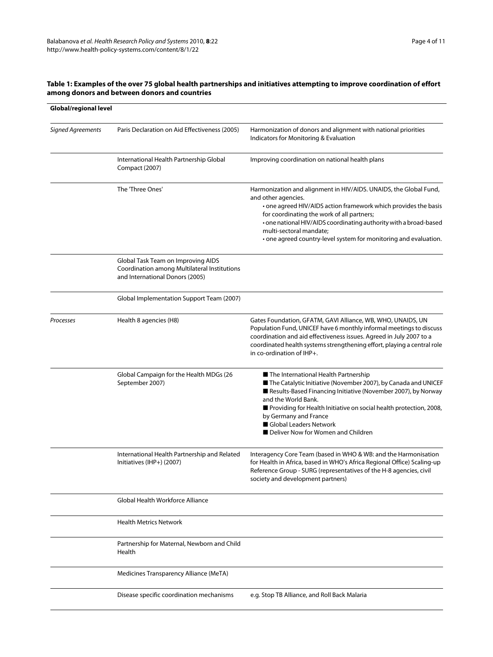# <span id="page-3-0"></span>**Table 1: Examples of the over 75 global health partnerships and initiatives attempting to improve coordination of effort among donors and between donors and countries**

| Global/regional level |                                                                                                                       |                                                                                                                                                                                                                                                                                                                                                                               |  |  |  |
|-----------------------|-----------------------------------------------------------------------------------------------------------------------|-------------------------------------------------------------------------------------------------------------------------------------------------------------------------------------------------------------------------------------------------------------------------------------------------------------------------------------------------------------------------------|--|--|--|
| Signed Agreements     | Paris Declaration on Aid Effectiveness (2005)                                                                         | Harmonization of donors and alignment with national priorities<br>Indicators for Monitoring & Evaluation<br>Improving coordination on national health plans                                                                                                                                                                                                                   |  |  |  |
|                       | International Health Partnership Global<br>Compact (2007)                                                             |                                                                                                                                                                                                                                                                                                                                                                               |  |  |  |
|                       | The 'Three Ones'                                                                                                      | Harmonization and alignment in HIV/AIDS. UNAIDS, the Global Fund,<br>and other agencies.<br>• one agreed HIV/AIDS action framework which provides the basis<br>for coordinating the work of all partners;<br>. one national HIV/AIDS coordinating authority with a broad-based<br>multi-sectoral mandate;<br>• one agreed country-level system for monitoring and evaluation. |  |  |  |
|                       | Global Task Team on Improving AIDS<br>Coordination among Multilateral Institutions<br>and International Donors (2005) |                                                                                                                                                                                                                                                                                                                                                                               |  |  |  |
|                       | Global Implementation Support Team (2007)                                                                             |                                                                                                                                                                                                                                                                                                                                                                               |  |  |  |
| Processes             | Health 8 agencies (H8)                                                                                                | Gates Foundation, GFATM, GAVI Alliance, WB, WHO, UNAIDS, UN<br>Population Fund, UNICEF have 6 monthly informal meetings to discuss<br>coordination and aid effectiveness issues. Agreed in July 2007 to a<br>coordinated health systems strengthening effort, playing a central role<br>in co-ordination of IHP+.                                                             |  |  |  |
|                       | Global Campaign for the Health MDGs (26<br>September 2007)                                                            | The International Health Partnership<br>The Catalytic Initiative (November 2007), by Canada and UNICEF<br>Results-Based Financing Initiative (November 2007), by Norway<br>and the World Bank.<br>■ Providing for Health Initiative on social health protection, 2008,<br>by Germany and France<br>Global Leaders Network<br>Deliver Now for Women and Children               |  |  |  |
|                       | International Health Partnership and Related<br>Initiatives (IHP+) (2007)                                             | Interagency Core Team (based in WHO & WB: and the Harmonisation<br>for Health in Africa, based in WHO's Africa Regional Office) Scaling-up<br>Reference Group - SURG (representatives of the H-8 agencies, civil<br>society and development partners)                                                                                                                         |  |  |  |
|                       | Global Health Workforce Alliance                                                                                      |                                                                                                                                                                                                                                                                                                                                                                               |  |  |  |
|                       | Health Metrics Network                                                                                                |                                                                                                                                                                                                                                                                                                                                                                               |  |  |  |
|                       | Partnership for Maternal, Newborn and Child<br>Health                                                                 |                                                                                                                                                                                                                                                                                                                                                                               |  |  |  |
|                       | Medicines Transparency Alliance (MeTA)                                                                                |                                                                                                                                                                                                                                                                                                                                                                               |  |  |  |
|                       | Disease specific coordination mechanisms                                                                              | e.g. Stop TB Alliance, and Roll Back Malaria                                                                                                                                                                                                                                                                                                                                  |  |  |  |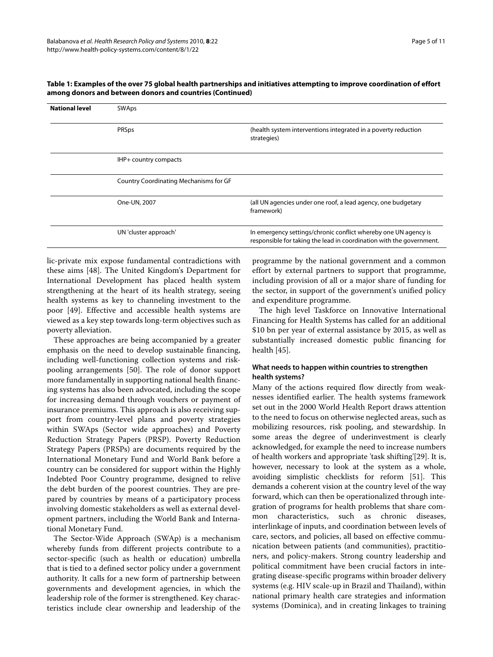| <b>National level</b> | SWAps                                         |                                                                                                                                         |
|-----------------------|-----------------------------------------------|-----------------------------------------------------------------------------------------------------------------------------------------|
|                       | PRSps                                         | (health system interventions integrated in a poverty reduction<br>strategies)                                                           |
|                       | IHP+ country compacts                         |                                                                                                                                         |
|                       | <b>Country Coordinating Mechanisms for GF</b> |                                                                                                                                         |
|                       | One-UN, 2007                                  | (all UN agencies under one roof, a lead agency, one budgetary<br>framework)                                                             |
|                       | UN 'cluster approach'                         | In emergency settings/chronic conflict whereby one UN agency is<br>responsible for taking the lead in coordination with the government. |

# **Table 1: Examples of the over 75 global health partnerships and initiatives attempting to improve coordination of effort among donors and between donors and countries (Continued)**

lic-private mix expose fundamental contradictions with these aims [[48](#page-9-36)]. The United Kingdom's Department for International Development has placed health system strengthening at the heart of its health strategy, seeing health systems as key to channeling investment to the poor [\[49](#page-9-37)]. Effective and accessible health systems are viewed as a key step towards long-term objectives such as poverty alleviation.

These approaches are being accompanied by a greater emphasis on the need to develop sustainable financing, including well-functioning collection systems and riskpooling arrangements [\[50](#page-9-38)]. The role of donor support more fundamentally in supporting national health financing systems has also been advocated, including the scope for increasing demand through vouchers or payment of insurance premiums. This approach is also receiving support from country-level plans and poverty strategies within SWAps (Sector wide approaches) and Poverty Reduction Strategy Papers (PRSP). Poverty Reduction Strategy Papers (PRSPs) are documents required by the International Monetary Fund and World Bank before a country can be considered for support within the Highly Indebted Poor Country programme, designed to relive the debt burden of the poorest countries. They are prepared by countries by means of a participatory process involving domestic stakeholders as well as external development partners, including the World Bank and International Monetary Fund.

The Sector-Wide Approach (SWAp) is a mechanism whereby funds from different projects contribute to a sector-specific (such as health or education) umbrella that is tied to a defined sector policy under a government authority. It calls for a new form of partnership between governments and development agencies, in which the leadership role of the former is strengthened. Key characteristics include clear ownership and leadership of the programme by the national government and a common effort by external partners to support that programme, including provision of all or a major share of funding for the sector, in support of the government's unified policy and expenditure programme.

The high level Taskforce on Innovative International Financing for Health Systems has called for an additional \$10 bn per year of external assistance by 2015, as well as substantially increased domestic public financing for health [[45\]](#page-9-33).

# **What needs to happen within countries to strengthen health systems?**

Many of the actions required flow directly from weaknesses identified earlier. The health systems framework set out in the 2000 World Health Report draws attention to the need to focus on otherwise neglected areas, such as mobilizing resources, risk pooling, and stewardship. In some areas the degree of underinvestment is clearly acknowledged, for example the need to increase numbers of health workers and appropriate 'task shifting'[\[29\]](#page-9-17). It is, however, necessary to look at the system as a whole, avoiding simplistic checklists for reform [[51\]](#page-9-39). This demands a coherent vision at the country level of the way forward, which can then be operationalized through integration of programs for health problems that share common characteristics, such as chronic diseases, interlinkage of inputs, and coordination between levels of care, sectors, and policies, all based on effective communication between patients (and communities), practitioners, and policy-makers. Strong country leadership and political commitment have been crucial factors in integrating disease-specific programs within broader delivery systems (e.g. HIV scale-up in Brazil and Thailand), within national primary health care strategies and information systems (Dominica), and in creating linkages to training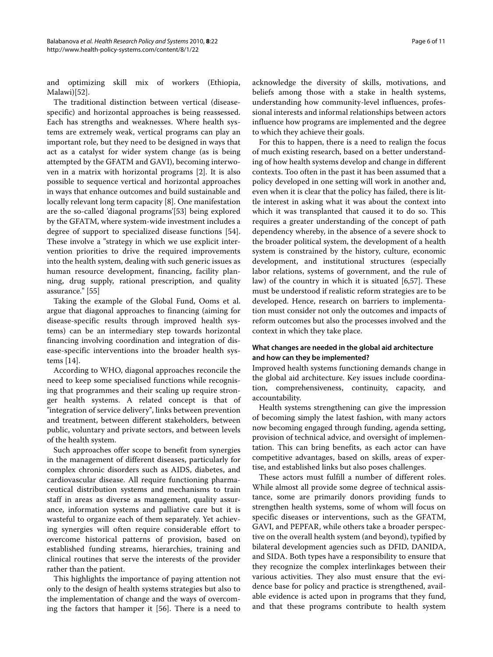and optimizing skill mix of workers (Ethiopia, Malawi)[\[52](#page-9-40)].

The traditional distinction between vertical (diseasespecific) and horizontal approaches is being reassessed. Each has strengths and weaknesses. Where health systems are extremely weak, vertical programs can play an important role, but they need to be designed in ways that act as a catalyst for wider system change (as is being attempted by the GFATM and GAVI), becoming interwoven in a matrix with horizontal programs [\[2\]](#page-8-6). It is also possible to sequence vertical and horizontal approaches in ways that enhance outcomes and build sustainable and locally relevant long term capacity [[8\]](#page-8-7). One manifestation are the so-called 'diagonal programs'[[53](#page-9-41)] being explored by the GFATM, where system-wide investment includes a degree of support to specialized disease functions [\[54](#page-9-42)]. These involve a "strategy in which we use explicit intervention priorities to drive the required improvements into the health system, dealing with such generic issues as human resource development, financing, facility planning, drug supply, rational prescription, and quality assurance." [[55](#page-9-43)]

Taking the example of the Global Fund, Ooms et al. argue that diagonal approaches to financing (aiming for disease-specific results through improved health systems) can be an intermediary step towards horizontal financing involving coordination and integration of disease-specific interventions into the broader health systems [[14\]](#page-9-2).

According to WHO, diagonal approaches reconcile the need to keep some specialised functions while recognising that programmes and their scaling up require stronger health systems. A related concept is that of "integration of service delivery", links between prevention and treatment, between different stakeholders, between public, voluntary and private sectors, and between levels of the health system.

Such approaches offer scope to benefit from synergies in the management of different diseases, particularly for complex chronic disorders such as AIDS, diabetes, and cardiovascular disease. All require functioning pharmaceutical distribution systems and mechanisms to train staff in areas as diverse as management, quality assurance, information systems and palliative care but it is wasteful to organize each of them separately. Yet achieving synergies will often require considerable effort to overcome historical patterns of provision, based on established funding streams, hierarchies, training and clinical routines that serve the interests of the provider rather than the patient.

This highlights the importance of paying attention not only to the design of health systems strategies but also to the implementation of change and the ways of overcoming the factors that hamper it [\[56](#page-9-44)]. There is a need to

acknowledge the diversity of skills, motivations, and beliefs among those with a stake in health systems, understanding how community-level influences, professional interests and informal relationships between actors influence how programs are implemented and the degree to which they achieve their goals.

For this to happen, there is a need to realign the focus of much existing research, based on a better understanding of how health systems develop and change in different contexts. Too often in the past it has been assumed that a policy developed in one setting will work in another and, even when it is clear that the policy has failed, there is little interest in asking what it was about the context into which it was transplanted that caused it to do so. This requires a greater understanding of the concept of path dependency whereby, in the absence of a severe shock to the broader political system, the development of a health system is constrained by the history, culture, economic development, and institutional structures (especially labor relations, systems of government, and the rule of law) of the country in which it is situated [[6,](#page-8-4)[57\]](#page-9-45). These must be understood if realistic reform strategies are to be developed. Hence, research on barriers to implementation must consider not only the outcomes and impacts of reform outcomes but also the processes involved and the context in which they take place.

# **What changes are needed in the global aid architecture and how can they be implemented?**

Improved health systems functioning demands change in the global aid architecture. Key issues include coordination, comprehensiveness, continuity, capacity, and accountability.

Health systems strengthening can give the impression of becoming simply the latest fashion, with many actors now becoming engaged through funding, agenda setting, provision of technical advice, and oversight of implementation. This can bring benefits, as each actor can have competitive advantages, based on skills, areas of expertise, and established links but also poses challenges.

These actors must fulfill a number of different roles. While almost all provide some degree of technical assistance, some are primarily donors providing funds to strengthen health systems, some of whom will focus on specific diseases or interventions, such as the GFATM, GAVI, and PEPFAR, while others take a broader perspective on the overall health system (and beyond), typified by bilateral development agencies such as DFID, DANIDA, and SIDA. Both types have a responsibility to ensure that they recognize the complex interlinkages between their various activities. They also must ensure that the evidence base for policy and practice is strengthened, available evidence is acted upon in programs that they fund, and that these programs contribute to health system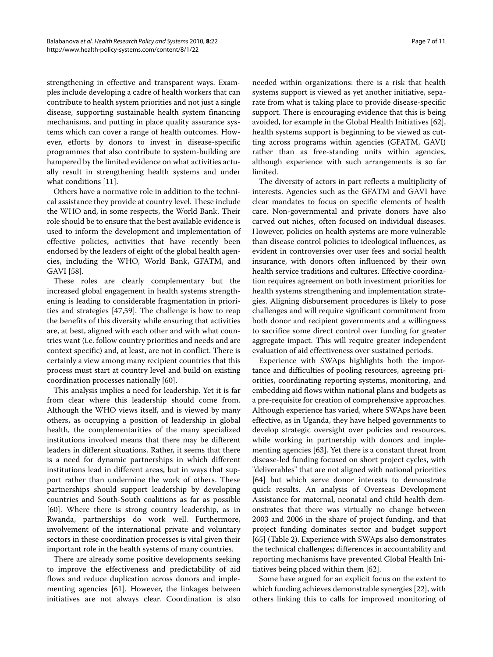strengthening in effective and transparent ways. Examples include developing a cadre of health workers that can contribute to health system priorities and not just a single disease, supporting sustainable health system financing mechanisms, and putting in place quality assurance systems which can cover a range of health outcomes. However, efforts by donors to invest in disease-specific programmes that also contribute to system-building are hampered by the limited evidence on what activities actually result in strengthening health systems and under what conditions [[11](#page-8-10)].

Others have a normative role in addition to the technical assistance they provide at country level. These include the WHO and, in some respects, the World Bank. Their role should be to ensure that the best available evidence is used to inform the development and implementation of effective policies, activities that have recently been endorsed by the leaders of eight of the global health agencies, including the WHO, World Bank, GFATM, and GAVI [[58\]](#page-9-46).

These roles are clearly complementary but the increased global engagement in health systems strengthening is leading to considerable fragmentation in priorities and strategies [[47,](#page-9-35)[59\]](#page-9-47). The challenge is how to reap the benefits of this diversity while ensuring that activities are, at best, aligned with each other and with what countries want (i.e. follow country priorities and needs and are context specific) and, at least, are not in conflict. There is certainly a view among many recipient countries that this process must start at country level and build on existing coordination processes nationally [[60\]](#page-9-48).

This analysis implies a need for leadership. Yet it is far from clear where this leadership should come from. Although the WHO views itself, and is viewed by many others, as occupying a position of leadership in global health, the complementarities of the many specialized institutions involved means that there may be different leaders in different situations. Rather, it seems that there is a need for dynamic partnerships in which different institutions lead in different areas, but in ways that support rather than undermine the work of others. These partnerships should support leadership by developing countries and South-South coalitions as far as possible [[60\]](#page-9-48). Where there is strong country leadership, as in Rwanda, partnerships do work well. Furthermore, involvement of the international private and voluntary sectors in these coordination processes is vital given their important role in the health systems of many countries.

There are already some positive developments seeking to improve the effectiveness and predictability of aid flows and reduce duplication across donors and implementing agencies [[61\]](#page-10-0). However, the linkages between initiatives are not always clear. Coordination is also

needed within organizations: there is a risk that health systems support is viewed as yet another initiative, separate from what is taking place to provide disease-specific support. There is encouraging evidence that this is being avoided, for example in the Global Health Initiatives [\[62](#page-10-1)], health systems support is beginning to be viewed as cutting across programs within agencies (GFATM, GAVI) rather than as free-standing units within agencies, although experience with such arrangements is so far limited.

The diversity of actors in part reflects a multiplicity of interests. Agencies such as the GFATM and GAVI have clear mandates to focus on specific elements of health care. Non-governmental and private donors have also carved out niches, often focused on individual diseases. However, policies on health systems are more vulnerable than disease control policies to ideological influences, as evident in controversies over user fees and social health insurance, with donors often influenced by their own health service traditions and cultures. Effective coordination requires agreement on both investment priorities for health systems strengthening and implementation strategies. Aligning disbursement procedures is likely to pose challenges and will require significant commitment from both donor and recipient governments and a willingness to sacrifice some direct control over funding for greater aggregate impact. This will require greater independent evaluation of aid effectiveness over sustained periods.

Experience with SWAps highlights both the importance and difficulties of pooling resources, agreeing priorities, coordinating reporting systems, monitoring, and embedding aid flows within national plans and budgets as a pre-requisite for creation of comprehensive approaches. Although experience has varied, where SWAps have been effective, as in Uganda, they have helped governments to develop strategic oversight over policies and resources, while working in partnership with donors and implementing agencies [\[63](#page-10-2)]. Yet there is a constant threat from disease-led funding focused on short project cycles, with "deliverables" that are not aligned with national priorities [[64\]](#page-10-3) but which serve donor interests to demonstrate quick results. An analysis of Overseas Development Assistance for maternal, neonatal and child health demonstrates that there was virtually no change between 2003 and 2006 in the share of project funding, and that project funding dominates sector and budget support [[65\]](#page-10-4) (Table 2). Experience with SWAps also demonstrates the technical challenges; differences in accountability and reporting mechanisms have prevented Global Health Initiatives being placed within them [\[62](#page-10-1)].

Some have argued for an explicit focus on the extent to which funding achieves demonstrable synergies [[22\]](#page-9-10), with others linking this to calls for improved monitoring of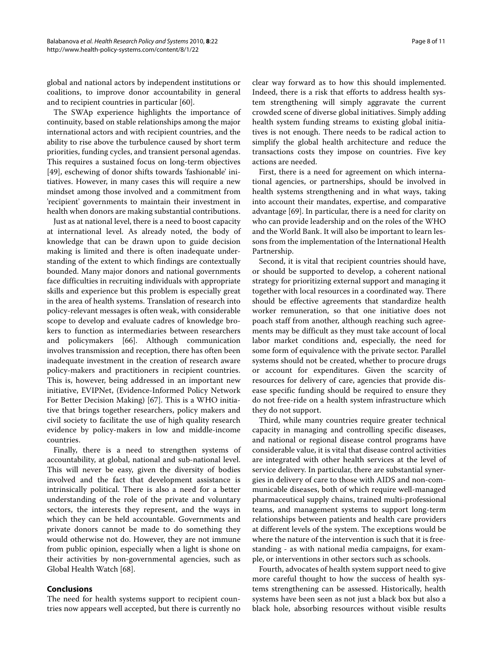global and national actors by independent institutions or coalitions, to improve donor accountability in general and to recipient countries in particular [[60\]](#page-9-48).

The SWAp experience highlights the importance of continuity, based on stable relationships among the major international actors and with recipient countries, and the ability to rise above the turbulence caused by short term priorities, funding cycles, and transient personal agendas. This requires a sustained focus on long-term objectives [[49\]](#page-9-37), eschewing of donor shifts towards 'fashionable' initiatives. However, in many cases this will require a new mindset among those involved and a commitment from 'recipient' governments to maintain their investment in health when donors are making substantial contributions.

Just as at national level, there is a need to boost capacity at international level. As already noted, the body of knowledge that can be drawn upon to guide decision making is limited and there is often inadequate understanding of the extent to which findings are contextually bounded. Many major donors and national governments face difficulties in recruiting individuals with appropriate skills and experience but this problem is especially great in the area of health systems. Translation of research into policy-relevant messages is often weak, with considerable scope to develop and evaluate cadres of knowledge brokers to function as intermediaries between researchers and policymakers [[66\]](#page-10-5). Although communication involves transmission and reception, there has often been inadequate investment in the creation of research aware policy-makers and practitioners in recipient countries. This is, however, being addressed in an important new initiative, EVIPNet, (Evidence-Informed Policy Network For Better Decision Making) [\[67](#page-10-6)]. This is a WHO initiative that brings together researchers, policy makers and civil society to facilitate the use of high quality research evidence by policy-makers in low and middle-income countries.

Finally, there is a need to strengthen systems of accountability, at global, national and sub-national level. This will never be easy, given the diversity of bodies involved and the fact that development assistance is intrinsically political. There is also a need for a better understanding of the role of the private and voluntary sectors, the interests they represent, and the ways in which they can be held accountable. Governments and private donors cannot be made to do something they would otherwise not do. However, they are not immune from public opinion, especially when a light is shone on their activities by non-governmental agencies, such as Global Health Watch [\[68](#page-10-7)].

# **Conclusions**

The need for health systems support to recipient countries now appears well accepted, but there is currently no

clear way forward as to how this should implemented. Indeed, there is a risk that efforts to address health system strengthening will simply aggravate the current crowded scene of diverse global initiatives. Simply adding health system funding streams to existing global initiatives is not enough. There needs to be radical action to simplify the global health architecture and reduce the transactions costs they impose on countries. Five key actions are needed.

First, there is a need for agreement on which international agencies, or partnerships, should be involved in health systems strengthening and in what ways, taking into account their mandates, expertise, and comparative advantage [\[69](#page-10-8)]. In particular, there is a need for clarity on who can provide leadership and on the roles of the WHO and the World Bank. It will also be important to learn lessons from the implementation of the International Health Partnership.

Second, it is vital that recipient countries should have, or should be supported to develop, a coherent national strategy for prioritizing external support and managing it together with local resources in a coordinated way. There should be effective agreements that standardize health worker remuneration, so that one initiative does not poach staff from another, although reaching such agreements may be difficult as they must take account of local labor market conditions and, especially, the need for some form of equivalence with the private sector. Parallel systems should not be created, whether to procure drugs or account for expenditures. Given the scarcity of resources for delivery of care, agencies that provide disease specific funding should be required to ensure they do not free-ride on a health system infrastructure which they do not support.

Third, while many countries require greater technical capacity in managing and controlling specific diseases, and national or regional disease control programs have considerable value, it is vital that disease control activities are integrated with other health services at the level of service delivery. In particular, there are substantial synergies in delivery of care to those with AIDS and non-communicable diseases, both of which require well-managed pharmaceutical supply chains, trained multi-professional teams, and management systems to support long-term relationships between patients and health care providers at different levels of the system. The exceptions would be where the nature of the intervention is such that it is freestanding - as with national media campaigns, for example, or interventions in other sectors such as schools.

Fourth, advocates of health system support need to give more careful thought to how the success of health systems strengthening can be assessed. Historically, health systems have been seen as not just a black box but also a black hole, absorbing resources without visible results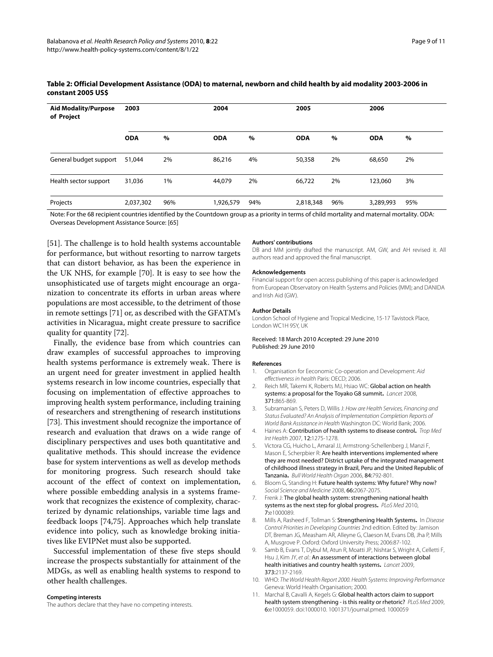| <b>Aid Modality/Purpose</b><br>of Project | 2003       |     | 2004       |     | 2005       |     | 2006       |      |
|-------------------------------------------|------------|-----|------------|-----|------------|-----|------------|------|
|                                           | <b>ODA</b> | %   | <b>ODA</b> | %   | <b>ODA</b> | %   | <b>ODA</b> | $\%$ |
| General budget support                    | 51,044     | 2%  | 86,216     | 4%  | 50,358     | 2%  | 68,650     | 2%   |
| Health sector support                     | 31,036     | 1%  | 44,079     | 2%  | 66,722     | 2%  | 123,060    | 3%   |
| Projects                                  | 2,037,302  | 96% | 1,926,579  | 94% | 2,818,348  | 96% | 3,289,993  | 95%  |

# **Table 2: Official Development Assistance (ODA) to maternal, newborn and child health by aid modality 2003-2006 in constant 2005 US\$**

Note: For the 68 recipient countries identified by the Countdown group as a priority in terms of child mortality and maternal mortality. ODA: Overseas Development Assistance Source: [\[65](#page-10-4)]

[[51\]](#page-9-39). The challenge is to hold health systems accountable for performance, but without resorting to narrow targets that can distort behavior, as has been the experience in the UK NHS, for example [[70\]](#page-10-9). It is easy to see how the unsophisticated use of targets might encourage an organization to concentrate its efforts in urban areas where populations are most accessible, to the detriment of those in remote settings [\[71\]](#page-10-10) or, as described with the GFATM's activities in Nicaragua, might create pressure to sacrifice quality for quantity [[72](#page-10-11)].

Finally, the evidence base from which countries can draw examples of successful approaches to improving health systems performance is extremely weak. There is an urgent need for greater investment in applied health systems research in low income countries, especially that focusing on implementation of effective approaches to improving health system performance, including training of researchers and strengthening of research institutions [[73\]](#page-10-12). This investment should recognize the importance of research and evaluation that draws on a wide range of disciplinary perspectives and uses both quantitative and qualitative methods. This should increase the evidence base for system interventions as well as develop methods for monitoring progress. Such research should take account of the effect of context on implementation, where possible embedding analysis in a systems framework that recognizes the existence of complexity, characterized by dynamic relationships, variable time lags and feedback loops [\[74](#page-10-13)[,75](#page-10-14)]. Approaches which help translate evidence into policy, such as knowledge broking initiatives like EVIPNet must also be supported.

Successful implementation of these five steps should increase the prospects substantially for attainment of the MDGs, as well as enabling health systems to respond to other health challenges.

#### **Competing interests**

The authors declare that they have no competing interests.

#### **Authors' contributions**

DB and MM jointly drafted the manuscript. AM, GW, and AH revised it. All authors read and approved the final manuscript.

#### **Acknowledgements**

Financial support for open access publishing of this paper is acknowledged from European Observatory on Health Systems and Policies (MM); and DANIDA and Irish Aid (GW).

#### **Author Details**

London School of Hygiene and Tropical Medicine, 15-17 Tavistock Place, London WC1H 9SY, UK

#### Received: 18 March 2010 Accepted: 29 June 2010 Published: 29 June 2010

#### **References**

- <span id="page-8-0"></span>1. Organisation for Eeconomic Co-operation and Development: Aid effectiveness in health Paris: OECD; 2006.
- <span id="page-8-6"></span>2. Reich MR, Takemi K, Roberts MJ, Hsiao WC: Global action on health systems: a proposal for the Toyako G8 summit**.** Lancet 2008, 371:865-869.
- <span id="page-8-1"></span>3. Subramanian S, Peters D, Willis J: How are Health Services, Financing and Status Evaluated? An Analysis of Implementation Completion Reports of World Bank Assistance in Health Washington DC: World Bank; 2006.
- <span id="page-8-2"></span>4. Haines A: Contribution of health systems to disease control**[.](http://www.ncbi.nlm.nih.gov/entrez/query.fcgi?cmd=Retrieve&db=PubMed&dopt=Abstract&list_uids=18045259)** Trop Med Int Health 2007, 12:1275-1278.
- <span id="page-8-3"></span>5. Victora CG, Huicho L, Amaral JJ, Armstrong-Schellenberg J, Manzi F, Mason E, Scherpbier R: Are health interventions implemented where they are most needed? District uptake of the integrated management of childhood illness strategy in Brazil, Peru and the United Republic of Tanzania**.** Bull World Health Organ 2006, 84:792-801.
- <span id="page-8-4"></span>6. Bloom G, Standing H: Future health systems: Why future? Why now? Social Science and Medicine 2008, 66:2067-2075.
- <span id="page-8-5"></span>7. Frenk J: The global health system: strengthening national health systems as the next step for global progress**.** PLoS Med 2010, 7:e1000089.
- <span id="page-8-7"></span>8. Mills A, Rasheed F, Tollman S: Strengthening Health Systems**.** In Disease Control Priorities in Developing Countries 2nd edition. Edited by: Jamison DT, Breman JG, Measham AR, Alleyne G, Claeson M, Evans DB, Jha P, Mills A, Musgrove P. Oxford: Oxford University Press; 2006:87-102.
- <span id="page-8-8"></span>9. Samb B, Evans T, Dybul M, Atun R, Moatti JP, Nishtar S, Wright A, Celletti F, Hsu J, Kim JY, et al.: An assessment of interactions between global health initiatives and country health systems**.** Lancet 2009, 373:2137-2169.
- <span id="page-8-9"></span>10. WHO: The World Health Report 2000. Health Systems: Improving Performance Geneva: World Health Organisation; 2000.
- <span id="page-8-10"></span>11. Marchal B, Cavalli A, Kegels G: Global health actors claim to support healthsystem strengthening - is this reality or rhetoric? PLoS Med 2009, 6:e1000059. doi:1000010. 1001371/journal.pmed. 1000059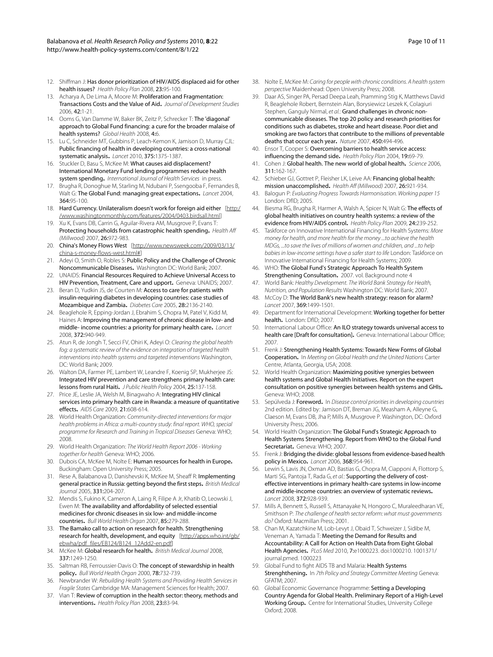- <span id="page-9-0"></span>12. Shiffman J: Has donor prioritization of HIV/AIDS displaced aid for other health issues? Health Policy Plan 2008, 23:95-100.
- <span id="page-9-1"></span>13. Acharya A, De Lima A, Moore M: Proliferation and Fragmentation: Transactions Costs and the Value of Aid**.** Journal of Development Studies 2006, 42:1-21.
- <span id="page-9-2"></span>14. Ooms G, Van Damme W, Baker BK, Zeitz P, Schrecker T: The 'diagonal' approach to Global Fund financing: a cure for the broader malaise of health systems? Global Health 2008, 4:6.
- <span id="page-9-3"></span>15. Lu C, Schneider MT, Gubbins P, Leach-Kemon K, Jamison D, Murray CJL: Public financing of health in developing countries: a cross-national systematic analysis**.** Lancet 2010, 375:1375-1387.
- <span id="page-9-4"></span>16. Stuckler D, Basu S, McKee M: What causes aid displacement? International Monetary Fund lending programmes reduce health system spending**.** International Journal of Health Services in press.
- <span id="page-9-5"></span>17. Brugha R, Donoghue M, Starling M, Ndubani P, Ssengooba F, Fernandes B, Walt G: The Global Fund: managing great expectations**.** Lancet 2004, 364:95-100.
- <span id="page-9-6"></span>18. Hard Currency. Unilateralism doesn't work for foreign aid either [[http:/](http://www.washingtonmonthly.com/features/2004/0403.birdsall.html) [/www.washingtonmonthly.com/features/2004/0403.birdsall.html\]](http://www.washingtonmonthly.com/features/2004/0403.birdsall.html)
- <span id="page-9-7"></span>19. Xu K, Evans DB, Carrin G, Aguilar-Rivera AM, Musgrove P, Evans T: Protecting households from catastrophic health spending[.](http://www.ncbi.nlm.nih.gov/entrez/query.fcgi?cmd=Retrieve&db=PubMed&dopt=Abstract&list_uids=17630440) Health Aff (Millwood) 2007, 26:972-983.
- <span id="page-9-8"></span>20. China's Money Flows West [\[http://www.newsweek.com/2009/03/13/](http://www.newsweek.com/2009/03/13/china-s-money-flows-west.html#) [china-s-money-flows-west.html#](http://www.newsweek.com/2009/03/13/china-s-money-flows-west.html#)]
- <span id="page-9-9"></span>21. Adeyi O, Smith O, Robles S: Public Policy and the Challenge of Chronic Noncommunicable Diseases**.** Washington DC: World Bank; 2007.
- <span id="page-9-10"></span>22. UNAIDS: Financial Resources Required to Achieve Universal Access to HIV Prevention, Treatment, Care and upport**.** Geneva: UNAIDS; 2007.
- <span id="page-9-11"></span>23. Beran D, Yudkin JS, de Courten M: Access to care for patients with insulin-requiring diabetes in developing countries: case studies of Mozambique and Zambia**.** Diabetes Care 2005, 28:2136-2140.
- <span id="page-9-12"></span>24. Beaglehole R, Epping-Jordan J, Ebrahim S, Chopra M, Patel V, Kidd M, Haines A: Improving the management of chronic disease in low- and middle- income countries: a priority for primary health care**.** Lancet 2008, 372:940-949.
- <span id="page-9-13"></span>25. Atun R, de Jongh T, Secci FV, Ohiri K, Adeyi O: Clearing the global health fog: a systematic review of the evidence on integration of targeted health interventions into health systems and targeted interventions Washington, DC: World Bank; 2009.
- <span id="page-9-14"></span>26. Walton DA, Farmer PE, Lambert W, Leandre F, Koenig SP, Mukherjee JS: Integrated HIV prevention and care strengthens primary health care: lessons from rural Haiti**.** J Public Health Policy 2004, 25:137-158.
- <span id="page-9-15"></span>27. Price JE, Leslie JA, Welsh M, Binagwaho A: Integrating HIV clinical services into primary health care in Rwanda: a measure of quantitative effects**[.](http://www.ncbi.nlm.nih.gov/entrez/query.fcgi?cmd=Retrieve&db=PubMed&dopt=Abstract&list_uids=19444669)** AIDS Care 2009, 21:608-614.
- <span id="page-9-16"></span>28. World Health Organization: Community-directed interventions for major health problems in Africa: a multi-country study: final report. WHO, special programme for Research and Training in Tropical Diseases Geneva: WHO; 2008.
- <span id="page-9-17"></span>29. World Health Organization: The World Health Report 2006 - Working together for health Geneva: WHO; 2006.
- <span id="page-9-18"></span>30. Dubois CA, McKee M, Nolte E: Human resources for health in Europe**.** Buckingham: Open University Press; 2005.
- <span id="page-9-19"></span>31. Rese A, Balabanova D, Danishevski K, McKee M, Sheaff R: Implementing general practice in Russia: getting beyond the first steps**.** British Medical Journal 2005, 331:204-207.
- <span id="page-9-20"></span>32. Mendis S, Fukino K, Cameron A, Laing R, Filipe A Jr, Khatib O, Leowski J, Ewen M: The availability and affordability of selected essential medicines for chronic diseases in six low- and middle-income countries**.** Bull World Health Organ 2007, 85:279-288.
- <span id="page-9-21"></span>33. The Bamako call to action on research for health. Strengthening research for health, development, and equity [\[http://apps.who.int/gb/](http://apps.who.int/gb/ebwha/pdf_files/EB124/B124_12Add2-en.pdf) [ebwha/pdf\\_files/EB124/B124\\_12Add2-en.pdf](http://apps.who.int/gb/ebwha/pdf_files/EB124/B124_12Add2-en.pdf)]
- <span id="page-9-22"></span>34. McKee M: Global research for health**.** British Medical Journal 2008, 337:1249-1250.
- <span id="page-9-23"></span>35. Saltman RB, Ferroussier-Davis O: The concept of stewardship in health policy**.** Bull World Health Organ 2000, 78:732-739.
- <span id="page-9-24"></span>36. Newbrander W: Rebuilding Health Systems and Providing Health Services in Fragile States Cambridge MA: Management Sciences for Health; 2007.
- <span id="page-9-25"></span>37. Vian T: Review of corruption in the health sector: theory, methods and interventions**.** Health Policy Plan 2008, 23:83-94.
- <span id="page-9-26"></span>38. Nolte E, McKee M: Caring for people with chronic conditions. A health system perspective Maidenhead: Open University Press; 2008.
- <span id="page-9-27"></span>39. Daar AS, Singer PA, Persad Deepa Leah, Pramming Stig K, Matthews David R, Beaglehole Robert, Bernstein Alan, Borysiewicz Leszek K, Colagiuri Stephen, Ganguly Nirmal, et al.: Grand challenges in chronic noncommunicable diseases. The top 20 policy and research priorities for conditions such as diabetes, stroke and heart disease. Poor diet and smoking are two factors that contribute to the millions of preventable deaths that occur each year**[.](http://www.ncbi.nlm.nih.gov/entrez/query.fcgi?cmd=Retrieve&db=PubMed&dopt=Abstract&list_uids=18033288)** Nature 2007, 450:494-496.
- <span id="page-9-28"></span>40. Ensor T, Cooper S: Overcoming barriers to health service access: influencing the demand side**.** Health Policy Plan 2004, 19:69-79.
- <span id="page-9-29"></span>41. Cohen J: Global health. The new world of global health**.** Science 2006, 311:162-167.
- <span id="page-9-30"></span>42. Schieber GJ, Gottret P, Fleisher LK, Leive AA: Financing global health: mission unaccomplished**.** Health Aff (Millwood) 2007, 26:921-934.
- <span id="page-9-31"></span>43. Balogun P: Evaluating Progress Towards Harmonisation. Working paper 15 London: DfID; 2005.
- <span id="page-9-32"></span>44. Biesma RG, Brugha R, Harmer A, Walsh A, Spicer N, Walt G: The effects of global health initiatives on country health systems: a review of the evidence from HIV/AIDS contro[l](http://www.ncbi.nlm.nih.gov/entrez/query.fcgi?cmd=Retrieve&db=PubMed&dopt=Abstract&list_uids=19491291)**.** Health Policy Plan 2009, 24:239-252.
- <span id="page-9-33"></span>45. Taskforce on Innovative International Financing for Health Systems: More money for health, and more health for the money ...to achieve the health MDGs, ...to save the lives of millions of women and children, and ...to help babies in low-income settings have a safer start to life London: Taskforce on Innovative International Financing for Health Systems; 2009.
- <span id="page-9-34"></span>46. WHO: The Global Fund's Strategic Approach To Health System Strengthening Consultation**.** 2007. vol. Background note 4
- <span id="page-9-35"></span>47. World Bank: Healthy Development. The World Bank Strategy for Health, Nutrition, and Population Results Washington DC: World Bank; 2007.
- <span id="page-9-36"></span>48.McCoy D: The World Bank's new health strategy: reason for alarm? Lancet 2007, 369:1499-1501.
- <span id="page-9-37"></span>49. Department for International Development: Working together for better health**.** London: DfID; 2007.
- <span id="page-9-38"></span>50. International Labour Office: An ILO strategy towards universal access to health care [Draft for consultation]**.** Geneva: International Labour Office; 2007.
- <span id="page-9-39"></span>51. Frenk J: Strengthening Health Systems: Towards New Forms of Global Cooperation**.** In Meeting on Global Health and the United Nations Carter Centre, Atlanta, Georgia, USA; 2008.
- <span id="page-9-40"></span>52. World Health Organization: Maximizing positive synergies between health systems and Global Health Initiatives. Report on the expert consultation on positive synergies between health systems and GHIs**.** Geneva: WHO; 2008.
- <span id="page-9-41"></span>53. Sepúlveda J: Foreword**.** In Disease control priorities in developing countries 2nd edition. Edited by: Jamison DT, Breman JG, Measham A, Alleyne G, Claeson M, Evans DB, Jha P, Mills A, Musgrove P. Washington, DC: Oxford University Press; 2006.
- <span id="page-9-42"></span>54. World Health Organization: The Global Fund's Strategic Approach to Health Systems Strengthening. Report from WHO to the Global Fund Secretariat**.** Geneva: WHO; 2007.
- <span id="page-9-43"></span>55. Frenk J: Bridging the divide: global lessons from evidence-based health policy in Mexico**.** Lancet 2006, 368:954-961.
- <span id="page-9-44"></span>56. Lewin S, Lavis JN, Oxman AD, Bastias G, Chopra M, Ciapponi A, Flottorp S, Marti SG, Pantoja T, Rada G, et al.: Supporting the delivery of costeffective interventions in primary health-care systems in low-income and middle-income countries: an overview of systematic reviews**.** Lancet 2008, 372:928-939.
- <span id="page-9-45"></span>57. Mills A, Bennett S, Russell S, Attanayake N, Hongoro C, Muraleedharan VE, Smithson P: The challenge of health sector reform: what must governments do? Oxford: Macmillan Press; 2001.
- <span id="page-9-46"></span>58. Chan M, Kazatchkine M, Lob-Levyt J, Obaid T, Schweizer J, Sidibe M, Veneman A, Yamada T: Meeting the Demand for Results and Accountability: A Call for Action on Health Data from Eight Global Health Agencies**[.](http://www.ncbi.nlm.nih.gov/entrez/query.fcgi?cmd=Retrieve&db=PubMed&dopt=Abstract&list_uids=20126260)** PLoS Med 2010, 7:e1000223. doi:1000210. 1001371/ journal.pmed. 1000223
- <span id="page-9-47"></span>59. Global Fund to fight AIDS TB and Malaria: Health Systems Strenghthening**.** In 7th Policy and Strategy Committee Meeting Geneva: GFATM; 2007.
- <span id="page-9-48"></span>60. Global Economic Governance Programme: Setting a Developing Country Agenda for Global Health. Preliminary Report of a High-Level Working Group**.** Centre for International Studies, University College Oxford; 2008.